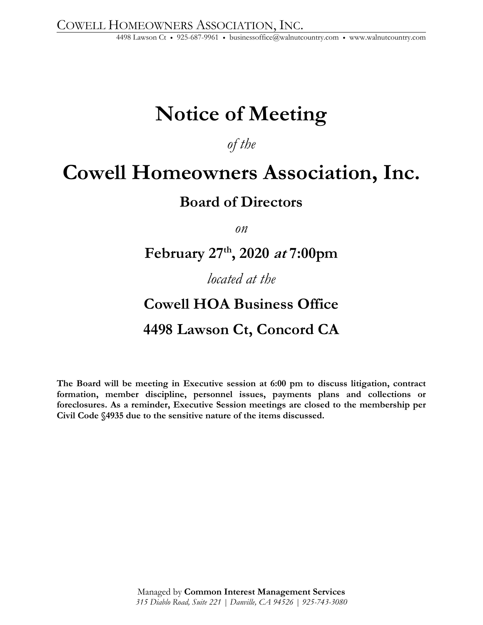# **Notice of Meeting**

*of the* 

## **Cowell Homeowners Association, Inc.**

## **Board of Directors**

*on* 

## **February 27th, 2020 at 7:00pm**

### *located at the*

## **Cowell HOA Business Office 4498 Lawson Ct, Concord CA**

**The Board will be meeting in Executive session at 6:00 pm to discuss litigation, contract formation, member discipline, personnel issues, payments plans and collections or foreclosures. As a reminder, Executive Session meetings are closed to the membership per Civil Code §4935 due to the sensitive nature of the items discussed.**